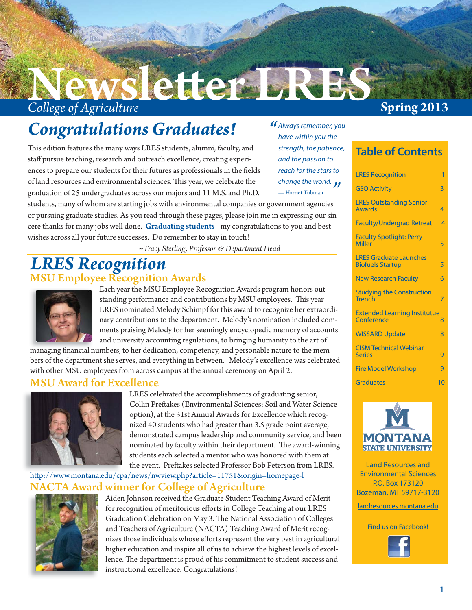## **College of Agriculture Spring 2013** ette er La

## *Congratulations Graduates!*

This edition features the many ways LRES students, alumni, faculty, and staff pursue teaching, research and outreach excellence, creating experiences to prepare our students for their futures as professionals in the fields of land resources and environmental sciences. This year, we celebrate the graduation of 25 undergraduates across our majors and 11 M.S. and Ph.D.

students, many of whom are starting jobs with environmental companies or government agencies or pursuing graduate studies. As you read through these pages, please join me in expressing our sincere thanks for many jobs well done. **Graduating students** - my congratulations to you and best wishes across all your future successes. Do remember to stay in touch! *change the world.*<br>— Harriet Tubman

*~Tracy Sterling, Professor & Department Head*

## MSU Employee Recognition Awards *LRES Recognition*



Each year the MSU Employee Recognition Awards program honors outstanding performance and contributions by MSU employees. This year LRES nominated Melody Schimpf for this award to recognize her extraordinary contributions to the department. Melody's nomination included comments praising Melody for her seemingly encyclopedic memory of accounts and university accounting regulations, to bringing humanity to the art of

managing financial numbers, to her dedication, competency, and personable nature to the members of the department she serves, and everything in between. Melody's excellence was celebrated with other MSU employees from across campus at the annual ceremony on April 2.

#### MSU Award for Excellence



LRES celebrated the accomplishments of graduating senior, Collin Preftakes (Environmental Sciences: Soil and Water Science option), at the 31st Annual Awards for Excellence which recognized 40 students who had greater than 3.5 grade point average, demonstrated campus leadership and community service, and been nominated by faculty within their department. The award-winning students each selected a mentor who was honored with them at the event. Preftakes selected Professor Bob Peterson from LRES.

#### Award winner for College of Agriculture http://www.montana.edu/cpa/news/nwview.php?article=11751&origin=homepage-l



Aiden Johnson received the Graduate Student Teaching Award of Merit for recognition of meritorious efforts in College Teaching at our LRES Graduation Celebration on May 3. The National Association of Colleges and Teachers of Agriculture (NACTA) Teaching Award of Merit recognizes those individuals whose efforts represent the very best in agricultural higher education and inspire all of us to achieve the highest levels of excellence. The department is proud of his commitment to student success and instructional excellence. Congratulations!

### **Table of Contents**

*Always remember, you*<br>have within you the *have within you the strength, the patience, and the passion to reach for the stars to* 

— Harriet Tubman

| <b>LRES Recognition</b>                                  | 1                        |
|----------------------------------------------------------|--------------------------|
| <b>GSO Activity</b>                                      | 3                        |
| <b>LRES Outstanding Senior</b><br><b>Awards</b>          | 4                        |
| <b>Faculty/Undergrad Retreat</b>                         | $\overline{\mathcal{A}}$ |
| <b>Faculty Spotlight: Perry</b><br><b>Miller</b>         | 5                        |
| <b>LRES Graduate Launches</b><br><b>Biofuels Startup</b> | 5                        |
| <b>New Research Faculty</b>                              | 6                        |
| <b>Studying the Construction</b><br><b>Trench</b>        | 7                        |
| <b>Extended Learning Institutue</b><br>Conference        | 8                        |
| <b>WISSARD Update</b>                                    | 8                        |
| <b>CISM Technical Webinar</b><br><b>Series</b>           | g                        |
| <b>Fire Model Workshop</b>                               | q                        |
| <b>Graduates</b>                                         | 10                       |



Land Resources and Environmental Sciences P.O. Box 173120 Bozeman, MT 59717-3120

landresources.montana.edu

Find us on Facebook!

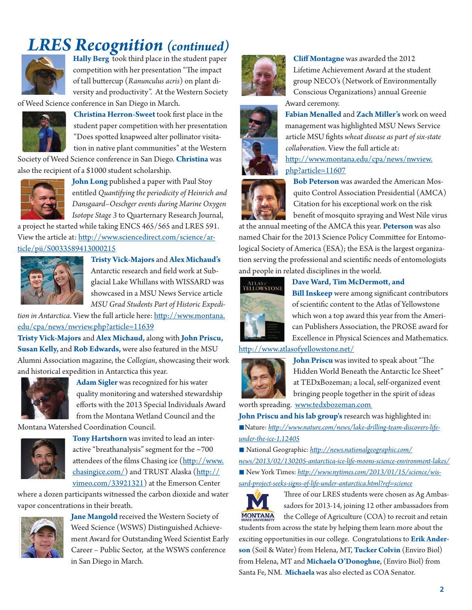## *LRES Recognition (continued)*



**Hally Berg** took third place in the student paper competition with her presentation "The impact of tall butt ercup (*Ranunculus acris*) on plant diversity and productivity". At the Western Society

of Weed Science conference in San Diego in March.



**Christina Herron-Sweet** took first place in the student paper competition with her presentation "Does spotted knapweed alter pollinator visitation in native plant communities" at the Western

Society of Weed Science conference in San Diego. **Christina** was also the recipient of a \$1000 student scholarship.



**John Long** published a paper with Paul Stoy entitled *Quantifying the periodicity of Heinrich and Dansgaard–Oeschger events during Marine Oxygen Isotope Stage 3* to Quarternary Research Journal,

a project he started while taking ENCS 465/565 and LRES 591. View the article at: http://www.sciencedirect.com/science/article/pii/S0033589413000215



**Tristy Vick-Majors** and **Alex Michaud's**  Antarctic research and field work at Subglacial Lake Whillans with WISSARD was

showcased in a MSU News Service article *MSU Grad Students Part of Historic Expedi-*

*tion in Antarctica*. View the full article here: http://www.montana. edu/cpa/news/nwview.php?article=11639

**Tristy Vick-Majors** and **Alex Michaud,** along with **John Priscu, Susan Kelly,** and **Rob Edwards,** were also featured in the MSU Alumni Association magazine, the *Collegian*, showcasing their work and historical expedition in Antarctica this year.



**Adam Sigler** was recognized for his water quality monitoring and watershed stewardship efforts with the 2013 Special Individuals Award from the Montana Wetland Council and the

Montana Watershed Coordination Council.



**Tony Hartshorn** was invited to lead an interactive "breathanalysis" segment for the ~700 attendees of the films Chasing ice (http://www.  $chasingice.com$ ) and TRUST Alaska  $(htt p://$ vimeo.com/33921321) at the Emerson Center

where a dozen participants witnessed the carbon dioxide and water vapor concentrations in their breath.



**Jane Mangold** received the Western Society of Weed Science (WSWS) Distinguished Achievement Award for Outstanding Weed Scientist Early Career – Public Sector, at the WSWS conference in San Diego in March.



**Cliff Montagne** was awarded the 2012 Lifetime Achievement Award at the student group NECO's (Network of Environmentally Conscious Organizations) annual Greenie Award ceremony.



*collaboration*. View the full article at: http://www.montana.edu/cpa/news/nwview. php?article=11607 **Bob Peterson** was awarded the American Mosquito Control Association Presidential (AMCA)

Citation for his exceptional work on the risk benefit of mosquito spraying and West Nile virus

at the annual meeting of the AMCA this year. **Peterson** was also named Chair for the 2013 Science Policy Committee for Entomological Society of America (ESA); the ESA is the largest organization serving the professional and scientific needs of entomologists and people in related disciplines in the world.



Dave Ward, Tim McDermott, and

**Bill Inskeep** were among significant contributors of scientific content to the Atlas of Yellowstone which won a top award this year from the American Publishers Association, the PROSE award for Excellence in Physical Sciences and Mathematics.

#### http://www.atlasofyellowstone.net/



**John Priscu** was invited to speak about "The Hidden World Beneath the Antarctic Ice Sheet" at TEDxBozeman; a local, self-organized event bringing people together in the spirit of ideas

worth spreading. www.tedxbozeman.com

**John Priscu and his lab group's** research was highlighted in: ■ Nature: http://www.nature.com/news/lake-drilling-team-discovers-life*under-the-ice-1.12405*

■ National Geographic: http://news.nationalgeographic.com/ *news/2013/02/130205-antarctica-ice-life-moons-science-environment-lakes/* ■ New York Times: http://www.nytimes.com/2013/01/15/science/wis*sard-project-seeks-signs-of-life-under-antarctica.html?ref=science*



Three of our LRES students were chosen as Ag Ambassadors for 2013-14, joining 12 other ambassadors from the College of Agriculture (COA) to recruit and retain

students from across the state by helping them learn more about the exciting opportunities in our college. Congratulations to **Erik Anderson** (Soil & Water) from Helena, MT, **Tucker Colvin** (Enviro Biol) from Helena, MT and **Michaela O'Donoghue**, (Enviro Biol) from Santa Fe, NM. **Michaela** was also elected as COA Senator.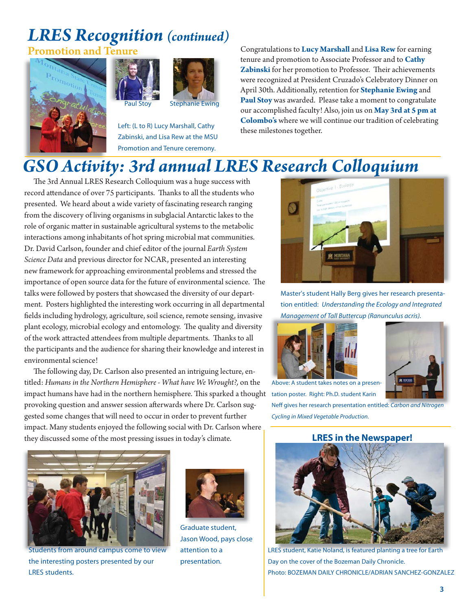# *LRES Recognition (continued)*







Left: (L to R) Lucy Marshall, Cathy Zabinski, and Lisa Rew at the MSU Promotion and Tenure ceremony.

Congratulations to **Lucy Marshall** and **Lisa Rew** for earning tenure and promotion to Associate Professor and to **Cathy**  Zabinski for her promotion to Professor. Their achievements were recognized at President Cruzado's Celebratory Dinner on April 30th. Additionally, retention for **Stephanie Ewing** and **Paul Stoy** was awarded. Please take a moment to congratulate our accomplished faculty! Also, join us on **May 3rd at 5 pm at Colombo's** where we will continue our tradition of celebrating these milestones together.

## *GSO Activity: 3rd annual LRES Research Colloquium*

The 3rd Annual LRES Research Colloquium was a huge success with record attendance of over 75 participants. Thanks to all the students who presented. We heard about a wide variety of fascinating research ranging from the discovery of living organisms in subglacial Antarctic lakes to the role of organic matter in sustainable agricultural systems to the metabolic interactions among inhabitants of hot spring microbial mat communities. Dr. David Carlson, founder and chief editor of the journal *Earth System Science Data* and previous director for NCAR, presented an interesting new framework for approaching environmental problems and stressed the importance of open source data for the future of environmental science. The talks were followed by posters that showcased the diversity of our department. Posters highlighted the interesting work occurring in all departmental fields including hydrology, agriculture, soil science, remote sensing, invasive plant ecology, microbial ecology and entomology. The quality and diversity of the work attracted attendees from multiple departments. Thanks to all the participants and the audience for sharing their knowledge and interest in environmental science!

The following day, Dr. Carlson also presented an intriguing lecture, entitled: *Humans in the Northern Hemisphere - What have We Wrought?,* on the impact humans have had in the northern hemisphere. This sparked a thought tation poster. Right: Ph.D. student Karin provoking question and answer session afterwards where Dr. Carlson suggested some changes that will need to occur in order to prevent further impact. Many students enjoyed the following social with Dr. Carlson where they discussed some of the most pressing issues in today's climate.



Students from around campus come to view the interesting posters presented by our LRES students.



Graduate student, Jason Wood, pays close attention to a presentation.



Master's student Hally Berg gives her research presentation entitled: *Understanding the Ecology and Integrated Management of Tall Buttercup (Ranunculus acris). Management of Tall Butterc*





Above: A student takes notes on a presen-

Neff gives her research presentation entitled: *Carbon and Nitrogen Cycling in Mixed Vegetable Production.*

#### **LRES in the Newspaper!**



LRES student, Katie Noland, is featured planting a tree for Earth Day on the cover of the Bozeman Daily Chronicle. Photo: BOZEMAN DAILY CHRONICLE/ADRIAN SANCHEZ-GONZALEZ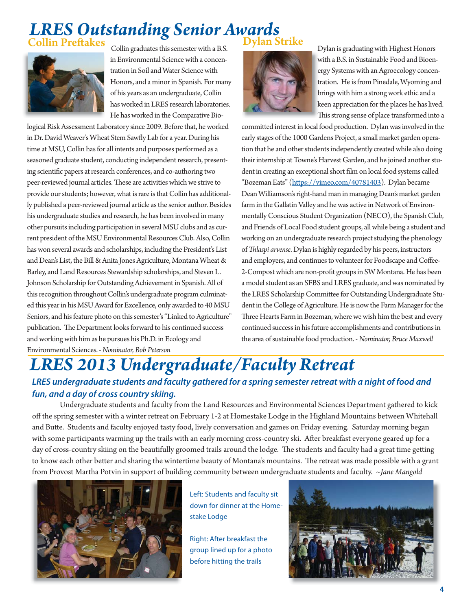### *LRES Outstanding Senior Awards* **lin Preftakes**



Collin graduates this semester with a B.S. in Environmental Science with a concentration in Soil and Water Science with Honors, and a minor in Spanish. For many of his years as an undergraduate, Collin has worked in LRES research laboratories. He has worked in the Comparative Bio-

logical Risk Assessment Laboratory since 2009. Before that, he worked in Dr. David Weaver's Wheat Stem Sawfly Lab for a year. During his time at MSU, Collin has for all intents and purposes performed as a seasoned graduate student, conducting independent research, presenting scientific papers at research conferences, and co-authoring two peer-reviewed journal articles. These are activities which we strive to provide our students; however, what is rare is that Collin has additionally published a peer-reviewed journal article as the senior author. Besides his undergraduate studies and research, he has been involved in many other pursuits including participation in several MSU clubs and as current president of the MSU Environmental Resources Club. Also, Collin has won several awards and scholarships, including the President's List and Dean's List, the Bill & Anita Jones Agriculture, Montana Wheat & Barley, and Land Resources Stewardship scholarships, and Steven L. Johnson Scholarship for Outstanding Achievement in Spanish. All of this recognition throughout Collin's undergraduate program culminated this year in his MSU Award for Excellence, only awarded to 40 MSU Seniors, and his feature photo on this semester's "Linked to Agriculture" publication. The Department looks forward to his continued success and working with him as he pursues his Ph.D. in Ecology and Environmental Sciences. *- Nominator, Bob Peterson*

### Dylan Strike



Dylan is graduating with Highest Honors with a B.S. in Sustainable Food and Bioen-w ergy Systems with an Agroecology concen-e tration. He is from Pinedale, Wyoming and brings with him a strong work ethic and a b keen appreciation for the places he has lived. k This strong sense of place transformed into a

committed interest in local food production. Dylan was involved in the early stages of the 1000 Gardens Project, a small market garden operation that he and other students independently created while also doing their internship at Towne's Harvest Garden, and he joined another student in creating an exceptional short film on local food systems called "Bozeman Eats" (https://vimeo.com/40781403). Dylan became Dean Williamson's right-hand man in managing Dean's market garden farm in the Gallatin Valley and he was active in Network of Environmentally Conscious Student Organization (NECO), the Spanish Club, and Friends of Local Food student groups, all while being a student and working on an undergraduate research project studying the phenology of *Th laspi arvense*. Dylan is highly regarded by his peers, instructors and employers, and continues to volunteer for Foodscape and Coffee-2-Compost which are non-profit groups in SW Montana. He has been a model student as an SFBS and LRES graduate, and was nominated by the LRES Scholarship Committee for Outstanding Undergraduate Student in the College of Agriculture. He is now the Farm Manager for the Three Hearts Farm in Bozeman, where we wish him the best and every continued success in his future accomplishments and contributions in the area of sustainable food production. - *Nominator, Bruce Maxwell*

### *LRES 2013 Undergraduate/Faculty Retreat LRES undergraduate students and faculty gathered for a spring semester retreat with a night of food and fun, and a day of cross country skiing.*

 Undergraduate students and faculty from the Land Resources and Environmental Sciences Department gathered to kick off the spring semester with a winter retreat on February 1-2 at Homestake Lodge in the Highland Mountains between Whitehall and Butte. Students and faculty enjoyed tasty food, lively conversation and games on Friday evening. Saturday morning began with some participants warming up the trails with an early morning cross-country ski. After breakfast everyone geared up for a day of cross-country skiing on the beautifully groomed trails around the lodge. The students and faculty had a great time getting to know each other better and sharing the wintertime beauty of Montana's mountains. The retreat was made possible with a grant from Provost Martha Potvin in support of building community between undergraduate students and faculty. *~Jane Mangold*



Left: Students and faculty sit down for dinner at the Homestake Lodge

Right: After breakfast the group lined up for a photo before hitting the trails

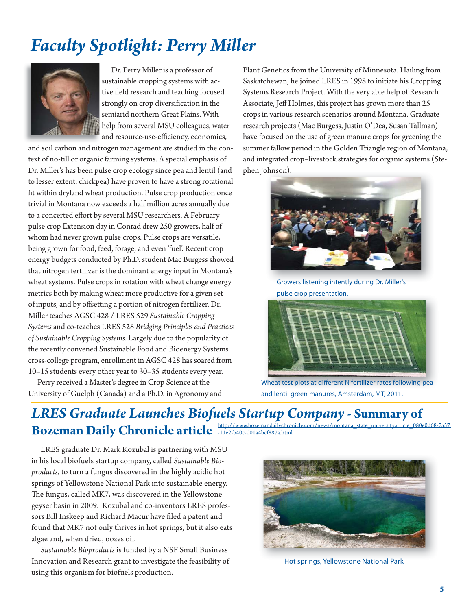## *Faculty Spotlight: Perry Miller*



 Dr. Perry Miller is a professor of sustainable cropping systems with active field research and teaching focused strongly on crop diversification in the semiarid northern Great Plains. With help from several MSU colleagues, water and resource-use-efficiency, economics,

and soil carbon and nitrogen management are studied in the context of no-till or organic farming systems. A special emphasis of Dr. Miller's has been pulse crop ecology since pea and lentil (and to lesser extent, chickpea) have proven to have a strong rotational fit within dryland wheat production. Pulse crop production once trivial in Montana now exceeds a half million acres annually due to a concerted effort by several MSU researchers. A February pulse crop Extension day in Conrad drew 250 growers, half of whom had never grown pulse crops. Pulse crops are versatile, being grown for food, feed, forage, and even 'fuel'. Recent crop energy budgets conducted by Ph.D. student Mac Burgess showed that nitrogen fertilizer is the dominant energy input in Montana's wheat systems. Pulse crops in rotation with wheat change energy metrics both by making wheat more productive for a given set of inputs, and by offsetting a portion of nitrogen fertilizer. Dr. Miller teaches AGSC 428 / LRES 529 *Sustainable Cropping Systems* and co-teaches LRES 528 *Bridging Principles and Practices of Sustainable Cropping Systems*. Largely due to the popularity of the recently convened Sustainable Food and Bioenergy Systems cross-college program, enrollment in AGSC 428 has soared from 10–15 students every other year to 30–35 students every year.

 Perry received a Master's degree in Crop Science at the University of Guelph (Canada) and a Ph.D. in Agronomy and

Plant Genetics from the University of Minnesota. Hailing from Saskatchewan, he joined LRES in 1998 to initiate his Cropping Systems Research Project. With the very able help of Research Associate, Jeff Holmes, this project has grown more than 25 crops in various research scenarios around Montana. Graduate research projects (Mac Burgess, Justin O'Dea, Susan Tallman) have focused on the use of green manure crops for greening the summer fallow period in the Golden Triangle region of Montana, and integrated crop–livestock strategies for organic systems (Stephen Johnson).



Growers listening intently during Dr. Miller's pulse crop presentation.



Wheat test plots at different N fertilizer rates following pea and lentil green manures, Amsterdam, MT, 2011.

#### *LRES Graduate Launches Biofuels Startup Company -* **Summary of Bozeman Daily Chronicle article http://www.bozemandailychroin** com/news/montana\_state\_universityarticle\_080e0d68-7a57

 LRES graduate Dr. Mark Kozubal is partnering with MSU in his local biofuels startup company, called *Sustainable Bioproducts*, to turn a fungus discovered in the highly acidic hot springs of Yellowstone National Park into sustainable energy. The fungus, called MK7, was discovered in the Yellowstone geyser basin in 2009. Kozubal and co-inventors LRES professors Bill Inskeep and Richard Macur have filed a patent and found that MK7 not only thrives in hot springs, but it also eats algae and, when dried, oozes oil.

*Sustainable Bioproducts* is funded by a NSF Small Business Innovation and Research grant to investigate the feasibility of using this organism for biofuels production.



Hot springs, Yellowstone National Park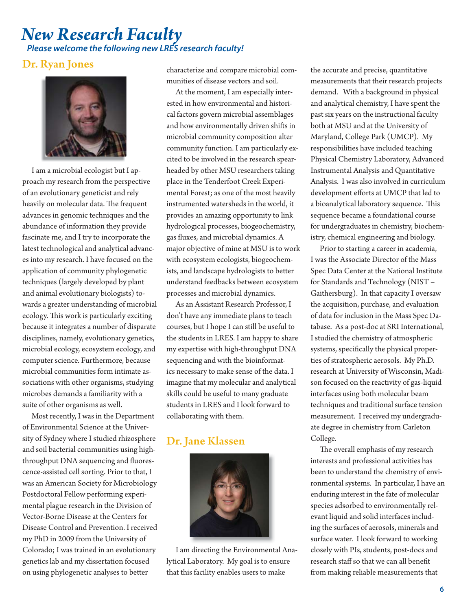### *New Research Faculty Please welcome the following new LRES research faculty!*

#### Dr. Ryan Jones



 I am a microbial ecologist but I approach my research from the perspective of an evolutionary geneticist and rely heavily on molecular data. The frequent advances in genomic techniques and the abundance of information they provide fascinate me, and I try to incorporate the latest technological and analytical advances into my research. I have focused on the application of community phylogenetic techniques (largely developed by plant and animal evolutionary biologists) towards a greater understanding of microbial ecology. This work is particularly exciting because it integrates a number of disparate disciplines, namely, evolutionary genetics, microbial ecology, ecosystem ecology, and computer science. Furthermore, because microbial communities form intimate associations with other organisms, studying microbes demands a familiarity with a suite of other organisms as well.

 Most recently, I was in the Department of Environmental Science at the University of Sydney where I studied rhizosphere and soil bacterial communities using highthroughput DNA sequencing and fluorescence-assisted cell sorting. Prior to that, I was an American Society for Microbiology Postdoctoral Fellow performing experimental plague research in the Division of Vector-Borne Disease at the Centers for Disease Control and Prevention. I received my PhD in 2009 from the University of Colorado; I was trained in an evolutionary genetics lab and my dissertation focused on using phylogenetic analyses to better

characterize and compare microbial communities of disease vectors and soil.

 At the moment, I am especially interested in how environmental and historical factors govern microbial assemblages and how environmentally driven shifts in microbial community composition alter community function. I am particularly excited to be involved in the research spearheaded by other MSU researchers taking place in the Tenderfoot Creek Experimental Forest; as one of the most heavily instrumented watersheds in the world, it provides an amazing opportunity to link hydrological processes, biogeochemistry, gas fluxes, and microbial dynamics. A major objective of mine at MSU is to work with ecosystem ecologists, biogeochemists, and landscape hydrologists to better understand feedbacks between ecosystem processes and microbial dynamics.

 As an Assistant Research Professor, I don't have any immediate plans to teach courses, but I hope I can still be useful to the students in LRES. I am happy to share my expertise with high-throughput DNA sequencing and with the bioinformatics necessary to make sense of the data. I imagine that my molecular and analytical skills could be useful to many graduate students in LRES and I look forward to collaborating with them.

#### Dr. Jane Klassen



 I am directing the Environmental Analytical Laboratory. My goal is to ensure that this facility enables users to make

the accurate and precise, quantitative measurements that their research projects demand. With a background in physical and analytical chemistry, I have spent the past six years on the instructional faculty both at MSU and at the University of Maryland, College Park (UMCP). My responsibilities have included teaching Physical Chemistry Laboratory, Advanced Instrumental Analysis and Quantitative Analysis. I was also involved in curriculum development efforts at UMCP that led to a bioanalytical laboratory sequence. This sequence became a foundational course for undergraduates in chemistry, biochemistry, chemical engineering and biology.

 Prior to starting a career in academia, I was the Associate Director of the Mass Spec Data Center at the National Institute for Standards and Technology (NIST – Gaithersburg). In that capacity I oversaw the acquisition, purchase, and evaluation of data for inclusion in the Mass Spec Database. As a post-doc at SRI International, I studied the chemistry of atmospheric systems, specifically the physical properties of stratospheric aerosols. My Ph.D. research at University of Wisconsin, Madison focused on the reactivity of gas-liquid interfaces using both molecular beam techniques and traditional surface tension measurement. I received my undergraduate degree in chemistry from Carleton College.

The overall emphasis of my research interests and professional activities has been to understand the chemistry of environmental systems. In particular, I have an enduring interest in the fate of molecular species adsorbed to environmentally relevant liquid and solid interfaces including the surfaces of aerosols, minerals and surface water. I look forward to working closely with PIs, students, post-docs and research staff so that we can all benefit from making reliable measurements that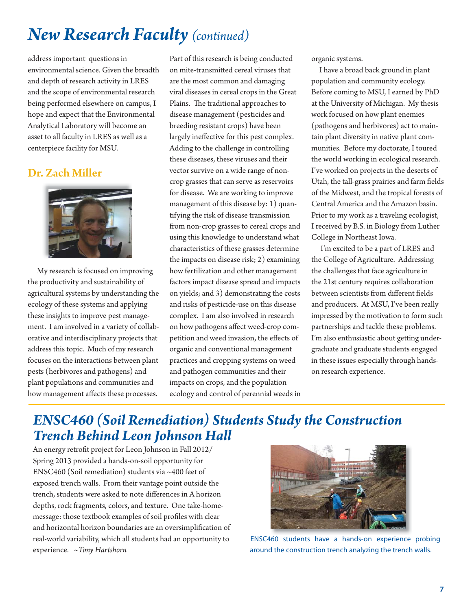## *New Research Faculty (continued)*

address important questions in environmental science. Given the breadth and depth of research activity in LRES and the scope of environmental research being performed elsewhere on campus, I hope and expect that the Environmental Analytical Laboratory will become an asset to all faculty in LRES as well as a centerpiece facility for MSU.

#### Dr. Zach Miller



 My research is focused on improving the productivity and sustainability of agricultural systems by understanding the ecology of these systems and applying these insights to improve pest management. I am involved in a variety of collaborative and interdisciplinary projects that address this topic. Much of my research focuses on the interactions between plant pests (herbivores and pathogens) and plant populations and communities and how management affects these processes.

Part of this research is being conducted on mite-transmitted cereal viruses that are the most common and damaging viral diseases in cereal crops in the Great Plains. The traditional approaches to disease management (pesticides and breeding resistant crops) have been largely ineffective for this pest complex. Adding to the challenge in controlling these diseases, these viruses and their vector survive on a wide range of noncrop grasses that can serve as reservoirs for disease. We are working to improve management of this disease by: 1) quantifying the risk of disease transmission from non-crop grasses to cereal crops and using this knowledge to understand what characteristics of these grasses determine the impacts on disease risk; 2) examining how fertilization and other management factors impact disease spread and impacts on yields; and 3) demonstrating the costs and risks of pesticide-use on this disease complex. I am also involved in research on how pathogens affect weed-crop competition and weed invasion, the effects of organic and conventional management practices and cropping systems on weed and pathogen communities and their impacts on crops, and the population ecology and control of perennial weeds in organic systems.

 I have a broad back ground in plant population and community ecology. Before coming to MSU, I earned by PhD at the University of Michigan. My thesis work focused on how plant enemies (pathogens and herbivores) act to maintain plant diversity in native plant communities. Before my doctorate, I toured the world working in ecological research. I've worked on projects in the deserts of Utah, the tall-grass prairies and farm fields of the Midwest, and the tropical forests of Central America and the Amazon basin. Prior to my work as a traveling ecologist, I received by B.S. in Biology from Luther College in Northeast Iowa.

 I'm excited to be a part of LRES and the College of Agriculture. Addressing the challenges that face agriculture in the 21st century requires collaboration between scientists from different fields and producers. At MSU, I've been really impressed by the motivation to form such partnerships and tackle these problems. I'm also enthusiastic about getting undergraduate and graduate students engaged in these issues especially through handson research experience.

## *ENSC460 (Soil Remediation) Students Study the Construction Trench Behind Leon Johnson Hall*

An energy retrofit project for Leon Johnson in Fall 2012/ Spring 2013 provided a hands-on-soil opportunity for ENSC460 (Soil remediation) students via ~400 feet of exposed trench walls. From their vantage point outside the trench, students were asked to note differences in A horizon depths, rock fragments, colors, and texture. One take-homemessage: those textbook examples of soil profiles with clear and horizontal horizon boundaries are an oversimplification of real-world variability, which all students had an opportunity to experience. *~Tony Hartshorn*



ENSC460 students have a hands-on experience probing around the construction trench analyzing the trench walls.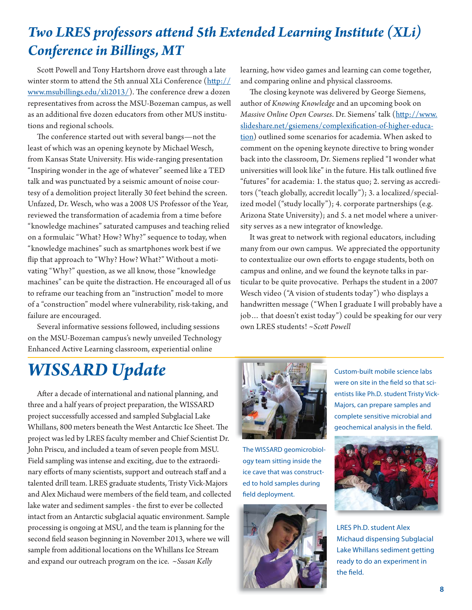## **Two LRES professors attend 5th Extended Learning Institute (XLi)** *Conference in Billings, MT*

 Scott Powell and Tony Hartshorn drove east through a late winter storm to attend the 5th annual XLi Conference (http:// www.msubillings.edu/xli2013/). The conference drew a dozen representatives from across the MSU-Bozeman campus, as well as an additional five dozen educators from other MUS institutions and regional schools.

The conference started out with several bangs-not the least of which was an opening keynote by Michael Wesch, from Kansas State University. His wide-ranging presentation "Inspiring wonder in the age of whatever" seemed like a TED talk and was punctuated by a seismic amount of noise courtesy of a demolition project literally 30 feet behind the screen. Unfazed, Dr. Wesch, who was a 2008 US Professor of the Year, reviewed the transformation of academia from a time before "knowledge machines" saturated campuses and teaching relied on a formulaic "What? How? Why?" sequence to today, when "knowledge machines" such as smartphones work best if we flip that approach to "Why? How? What?" Without a motivating "Why?" question, as we all know, those "knowledge machines" can be quite the distraction. He encouraged all of us to reframe our teaching from an "instruction" model to more of a "construction" model where vulnerability, risk-taking, and failure are encouraged.

 Several informative sessions followed, including sessions on the MSU-Bozeman campus's newly unveiled Technology Enhanced Active Learning classroom, experiential online

learning, how video games and learning can come together, and comparing online and physical classrooms.

The closing keynote was delivered by George Siemens, author of *Knowing Knowledge* and an upcoming book on *Massive Online Open Courses*. Dr. Siemens' talk (http://www. slideshare.net/gsiemens/complexification-of-higher-education) outlined some scenarios for academia. When asked to comment on the opening keynote directive to bring wonder back into the classroom, Dr. Siemens replied "I wonder what universities will look like" in the future. His talk outlined five "futures" for academia: 1. the status quo; 2. serving as accreditors ("teach globally, accredit locally"); 3. a localized/specialized model ("study locally"); 4. corporate partnerships (e.g. Arizona State University); and 5. a net model where a university serves as a new integrator of knowledge.

 It was great to network with regional educators, including many from our own campus. We appreciated the opportunity to contextualize our own efforts to engage students, both on campus and online, and we found the keynote talks in particular to be quite provocative. Perhaps the student in a 2007 Wesch video ("A vision of students today") who displays a handwritten message ("When I graduate I will probably have a job… that doesn't exist today") could be speaking for our very own LRES students! *~Scott Powell*

## *WISSARD Update*

After a decade of international and national planning, and three and a half years of project preparation, the WISSARD project successfully accessed and sampled Subglacial Lake Whillans, 800 meters beneath the West Antarctic Ice Sheet. The project was led by LRES faculty member and Chief Scientist Dr. John Priscu, and included a team of seven people from MSU. Field sampling was intense and exciting, due to the extraordinary efforts of many scientists, support and outreach staff and a talented drill team. LRES graduate students, Tristy Vick-Majors and Alex Michaud were members of the field team, and collected lake water and sediment samples - the first to ever be collected intact from an Antarctic subglacial aquatic environment. Sample processing is ongoing at MSU, and the team is planning for the second field season beginning in November 2013, where we will sample from additional locations on the Whillans Ice Stream and expand our outreach program on the ice. *~Susan Kelly*



Custom-built mobile science labs were on site in the field so that scientists like Ph.D. student Tristy Vick-Majors, can prepare samples and complete sensitive microbial and geochemical analysis in the field.







LRES Ph.D. student Alex Michaud dispensing Subglacial Lake Whillans sediment getting ready to do an experiment in the field.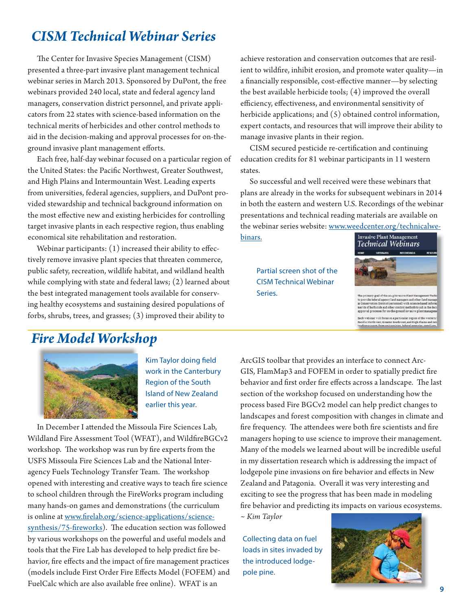### *CISM Technical Webinar Series*

The Center for Invasive Species Management (CISM) presented a three-part invasive plant management technical webinar series in March 2013. Sponsored by DuPont, the free webinars provided 240 local, state and federal agency land managers, conservation district personnel, and private applicators from 22 states with science-based information on the technical merits of herbicides and other control methods to aid in the decision-making and approval processes for on-theground invasive plant management efforts.

 Each free, half-day webinar focused on a particular region of the United States: the Pacific Northwest, Greater Southwest, and High Plains and Intermountain West. Leading experts from universities, federal agencies, suppliers, and DuPont provided stewardship and technical background information on the most effective new and existing herbicides for controlling target invasive plants in each respective region, thus enabling economical site rehabilitation and restoration.

Webinar participants:  $(1)$  increased their ability to effectively remove invasive plant species that threaten commerce, public safety, recreation, wildlife habitat, and wildland health while complying with state and federal laws; (2) learned about the best integrated management tools available for conserving healthy ecosystems and sustaining desired populations of forbs, shrubs, trees, and grasses; (3) improved their ability to

achieve restoration and conservation outcomes that are resilient to wildfire, inhibit erosion, and promote water quality-in a financially responsible, cost-effective manner—by selecting the best available herbicide tools; (4) improved the overall efficiency, effectiveness, and environmental sensitivity of herbicide applications; and (5) obtained control information, expert contacts, and resources that will improve their ability to manage invasive plants in their region.

CISM secured pesticide re-certification and continuing education credits for 81 webinar participants in 11 western states.

 So successful and well received were these webinars that plans are already in the works for subsequent webinars in 2014 in both the eastern and western U.S. Recordings of the webinar presentations and technical reading materials are available on the webinar series website: www.weedcenter.org/technicalwe-

binars.

Series.





goal of the 2013 Invasive P ristanty goal of the actual management and other land<br>is rederal agency land managem and other land<br>is revarien District parsonnell with science-based<br>is of herbicide and other control methods to aid in t<br>val processes for Each webinar will focus on a particular region of the weste<br>Pacific Northwest, Greater Southwest, and High Plains and I

### *Fire Model Workshop*



Kim Taylor doing field work in the Canterbury Region of the South Island of New Zealand earlier this year.

In December I attended the Missoula Fire Sciences Lab, Wildland Fire Assessment Tool (WFAT), and WildfireBGCv2 workshop. The workshop was run by fire experts from the USFS Missoula Fire Sciences Lab and the National Interagency Fuels Technology Transfer Team. The workshop opened with interesting and creative ways to teach fire science to school children through the FireWorks program including many hands-on games and demonstrations (the curriculum is online at www.firelab.org/science-applications/sciencesynthesis/75-fireworks). The education section was followed by various workshops on the powerful and useful models and tools that the Fire Lab has developed to help predict fire behavior, fire effects and the impact of fire management practices (models include First Order Fire Effects Model (FOFEM) and FuelCalc which are also available free online). WFAT is an

ArcGIS toolbar that provides an interface to connect Arc-GIS, FlamMap3 and FOFEM in order to spatially predict fire behavior and first order fire effects across a landscape. The last section of the workshop focused on understanding how the process based Fire BGCv2 model can help predict changes to landscapes and forest composition with changes in climate and fire frequency. The attendees were both fire scientists and fire managers hoping to use science to improve their management. Many of the models we learned about will be incredible useful in my dissertation research which is addressing the impact of lodgepole pine invasions on fire behavior and effects in New Zealand and Patagonia. Overall it was very interesting and exciting to see the progress that has been made in modeling fire behavior and predicting its impacts on various ecosystems.

*~ Kim Taylor*

Collecting data on fuel loads in sites invaded by the introduced lodgepole pine.